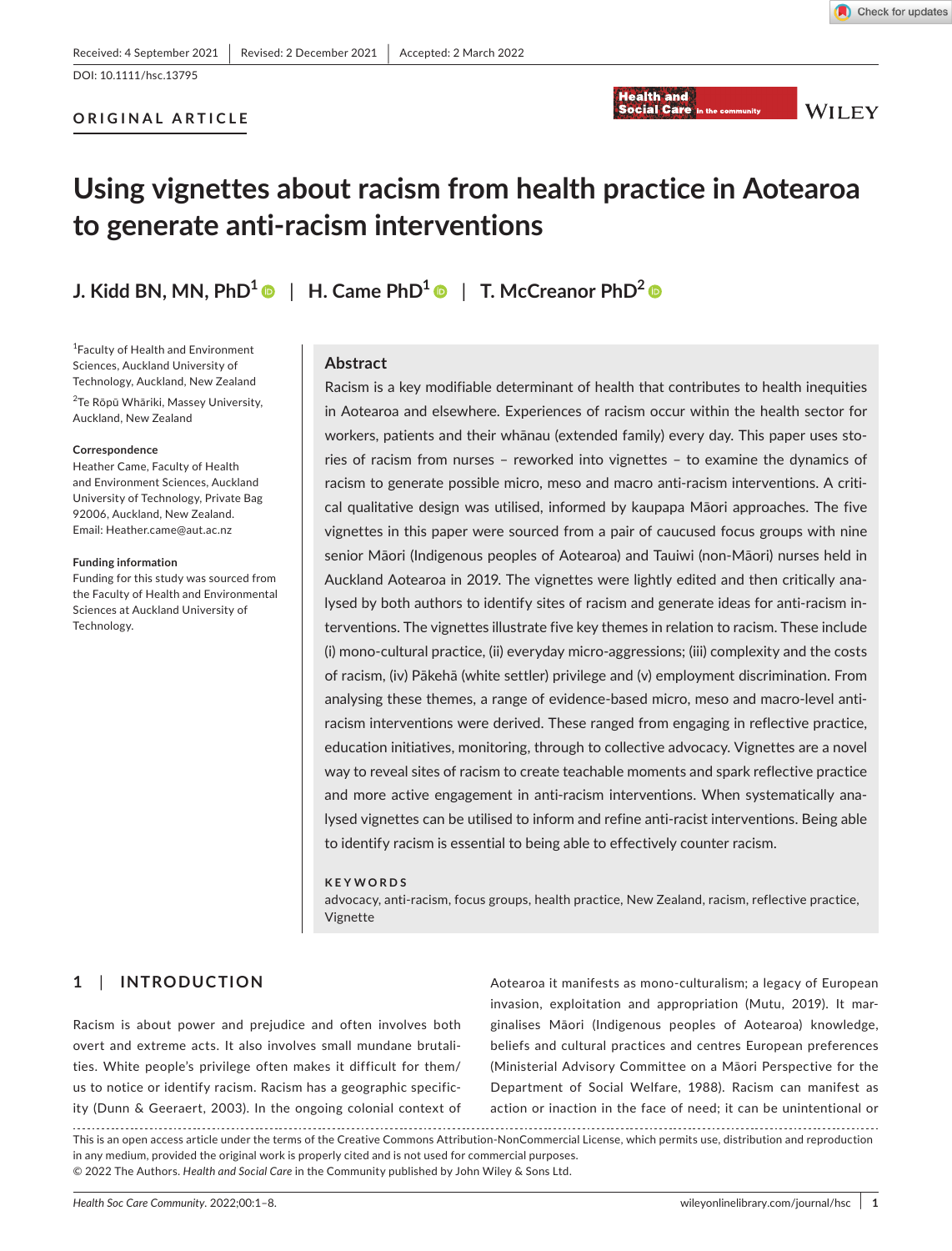Check for updates

# **ORIGINAL ARTICLE**



**WILEY** 

# **Using vignettes about racism from health practice in Aotearoa to generate anti-racism interventions**

**J.** Kidd BN, MN, PhD<sup>[1](https://orcid.org/0000-0002-1119-3202)</sup>  $\bullet$  | H. Came PhD<sup>1</sup>  $\bullet$  | T. McCreanor PhD<sup>2</sup>  $\bullet$ 

1 Faculty of Health and Environment Sciences, Auckland University of Technology, Auckland, New Zealand 2 Te Rōpū Whāriki, Massey University, Auckland, New Zealand

#### **Correspondence**

Heather Came, Faculty of Health and Environment Sciences, Auckland University of Technology, Private Bag 92006, Auckland, New Zealand. Email: [Heather.came@aut.ac.nz](mailto:Heather.came@aut.ac.nz)

#### **Funding information**

Funding for this study was sourced from the Faculty of Health and Environmental Sciences at Auckland University of Technology.

#### **Abstract**

Racism is a key modifiable determinant of health that contributes to health inequities in Aotearoa and elsewhere. Experiences of racism occur within the health sector for workers, patients and their whānau (extended family) every day. This paper uses stories of racism from nurses – reworked into vignettes – to examine the dynamics of racism to generate possible micro, meso and macro anti-racism interventions. A critical qualitative design was utilised, informed by kaupapa Māori approaches. The five vignettes in this paper were sourced from a pair of caucused focus groups with nine senior Māori (Indigenous peoples of Aotearoa) and Tauiwi (non-Māori) nurses held in Auckland Aotearoa in 2019. The vignettes were lightly edited and then critically analysed by both authors to identify sites of racism and generate ideas for anti-racism interventions. The vignettes illustrate five key themes in relation to racism. These include (i) mono-cultural practice, (ii) everyday micro-aggressions; (iii) complexity and the costs of racism, (iv) Pākehā (white settler) privilege and (v) employment discrimination. From analysing these themes, a range of evidence-based micro, meso and macro-level antiracism interventions were derived. These ranged from engaging in reflective practice, education initiatives, monitoring, through to collective advocacy. Vignettes are a novel way to reveal sites of racism to create teachable moments and spark reflective practice and more active engagement in anti-racism interventions. When systematically analysed vignettes can be utilised to inform and refine anti-racist interventions. Being able to identify racism is essential to being able to effectively counter racism.

#### **KEYWORDS**

advocacy, anti-racism, focus groups, health practice, New Zealand, racism, reflective practice, Vignette

# **1**  | **INTRODUCTION**

Racism is about power and prejudice and often involves both overt and extreme acts. It also involves small mundane brutalities. White people's privilege often makes it difficult for them/ us to notice or identify racism. Racism has a geographic specificity (Dunn & Geeraert, 2003). In the ongoing colonial context of Aotearoa it manifests as mono-culturalism; a legacy of European invasion, exploitation and appropriation (Mutu, 2019). It marginalises Māori (Indigenous peoples of Aotearoa) knowledge, beliefs and cultural practices and centres European preferences (Ministerial Advisory Committee on a Māori Perspective for the Department of Social Welfare, 1988). Racism can manifest as action or inaction in the face of need; it can be unintentional or

This is an open access article under the terms of the [Creative Commons Attribution-NonCommercial](http://creativecommons.org/licenses/by-nc/4.0/) License, which permits use, distribution and reproduction in any medium, provided the original work is properly cited and is not used for commercial purposes. © 2022 The Authors. *Health and Social Care* in the Community published by John Wiley & Sons Ltd.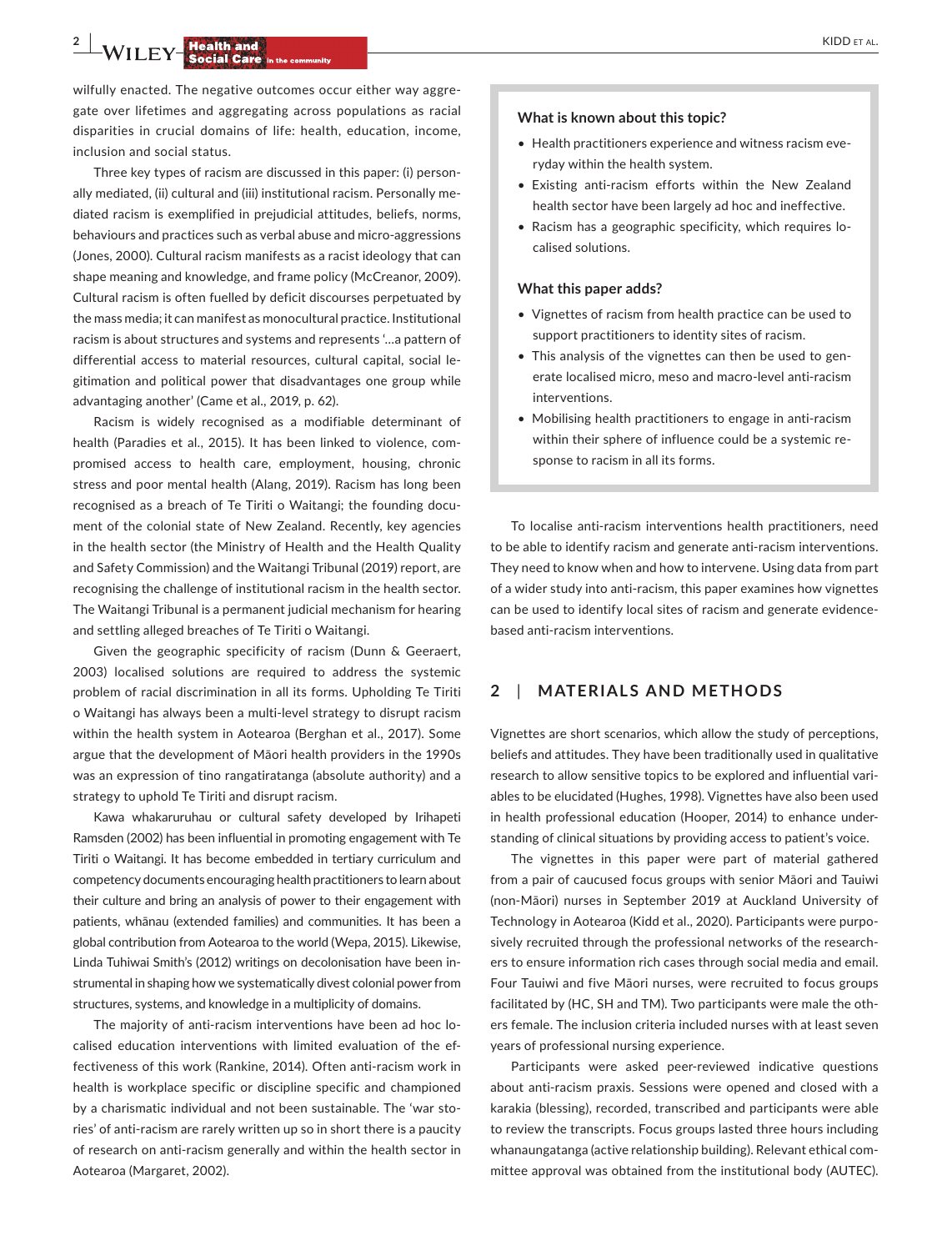**2 WILEY Health and <b>Care** in the community **and all and and all and and analyzing the community of the community of the community of the second care in the community of the second care in the community of the second c** 

wilfully enacted. The negative outcomes occur either way aggregate over lifetimes and aggregating across populations as racial disparities in crucial domains of life: health, education, income, inclusion and social status.

Three key types of racism are discussed in this paper: (i) personally mediated, (ii) cultural and (iii) institutional racism. Personally mediated racism is exemplified in prejudicial attitudes, beliefs, norms, behaviours and practices such as verbal abuse and micro-aggressions (Jones, 2000). Cultural racism manifests as a racist ideology that can shape meaning and knowledge, and frame policy (McCreanor, 2009). Cultural racism is often fuelled by deficit discourses perpetuated by the mass media; it can manifest as monocultural practice. Institutional racism is about structures and systems and represents '…a pattern of differential access to material resources, cultural capital, social legitimation and political power that disadvantages one group while advantaging another' (Came et al., 2019, p. 62).

Racism is widely recognised as a modifiable determinant of health (Paradies et al., 2015). It has been linked to violence, compromised access to health care, employment, housing, chronic stress and poor mental health (Alang, 2019). Racism has long been recognised as a breach of Te Tiriti o Waitangi; the founding document of the colonial state of New Zealand. Recently, key agencies in the health sector (the Ministry of Health and the Health Quality and Safety Commission) and the Waitangi Tribunal (2019) report, are recognising the challenge of institutional racism in the health sector. The Waitangi Tribunal is a permanent judicial mechanism for hearing and settling alleged breaches of Te Tiriti o Waitangi.

Given the geographic specificity of racism (Dunn & Geeraert, 2003) localised solutions are required to address the systemic problem of racial discrimination in all its forms. Upholding Te Tiriti o Waitangi has always been a multi-level strategy to disrupt racism within the health system in Aotearoa (Berghan et al., 2017). Some argue that the development of Māori health providers in the 1990s was an expression of tino rangatiratanga (absolute authority) and a strategy to uphold Te Tiriti and disrupt racism.

Kawa whakaruruhau or cultural safety developed by Irihapeti Ramsden (2002) has been influential in promoting engagement with Te Tiriti o Waitangi. It has become embedded in tertiary curriculum and competency documents encouraging health practitioners to learn about their culture and bring an analysis of power to their engagement with patients, whānau (extended families) and communities. It has been a global contribution from Aotearoa to the world (Wepa, 2015). Likewise, Linda Tuhiwai Smith's (2012) writings on decolonisation have been instrumental in shaping how we systematically divest colonial power from structures, systems, and knowledge in a multiplicity of domains.

The majority of anti-racism interventions have been ad hoc localised education interventions with limited evaluation of the effectiveness of this work (Rankine, 2014). Often anti-racism work in health is workplace specific or discipline specific and championed by a charismatic individual and not been sustainable. The 'war stories' of anti-racism are rarely written up so in short there is a paucity of research on anti-racism generally and within the health sector in Aotearoa (Margaret, 2002).

#### **What is known about this topic?**

- Health practitioners experience and witness racism everyday within the health system.
- Existing anti-racism efforts within the New Zealand health sector have been largely ad hoc and ineffective.
- Racism has a geographic specificity, which requires localised solutions.

#### **What this paper adds?**

- Vignettes of racism from health practice can be used to support practitioners to identity sites of racism.
- This analysis of the vignettes can then be used to generate localised micro, meso and macro-level anti-racism interventions.
- Mobilising health practitioners to engage in anti-racism within their sphere of influence could be a systemic response to racism in all its forms.

To localise anti-racism interventions health practitioners, need to be able to identify racism and generate anti-racism interventions. They need to know when and how to intervene. Using data from part of a wider study into anti-racism, this paper examines how vignettes can be used to identify local sites of racism and generate evidencebased anti-racism interventions.

## **2**  | **MATERIALS AND METHODS**

Vignettes are short scenarios, which allow the study of perceptions, beliefs and attitudes. They have been traditionally used in qualitative research to allow sensitive topics to be explored and influential variables to be elucidated (Hughes, 1998). Vignettes have also been used in health professional education (Hooper, 2014) to enhance understanding of clinical situations by providing access to patient's voice.

The vignettes in this paper were part of material gathered from a pair of caucused focus groups with senior Māori and Tauiwi (non-Māori) nurses in September 2019 at Auckland University of Technology in Aotearoa (Kidd et al., 2020). Participants were purposively recruited through the professional networks of the researchers to ensure information rich cases through social media and email. Four Tauiwi and five Māori nurses, were recruited to focus groups facilitated by (HC, SH and TM). Two participants were male the others female. The inclusion criteria included nurses with at least seven years of professional nursing experience.

Participants were asked peer-reviewed indicative questions about anti-racism praxis. Sessions were opened and closed with a karakia (blessing), recorded, transcribed and participants were able to review the transcripts. Focus groups lasted three hours including whanaungatanga (active relationship building). Relevant ethical committee approval was obtained from the institutional body (AUTEC).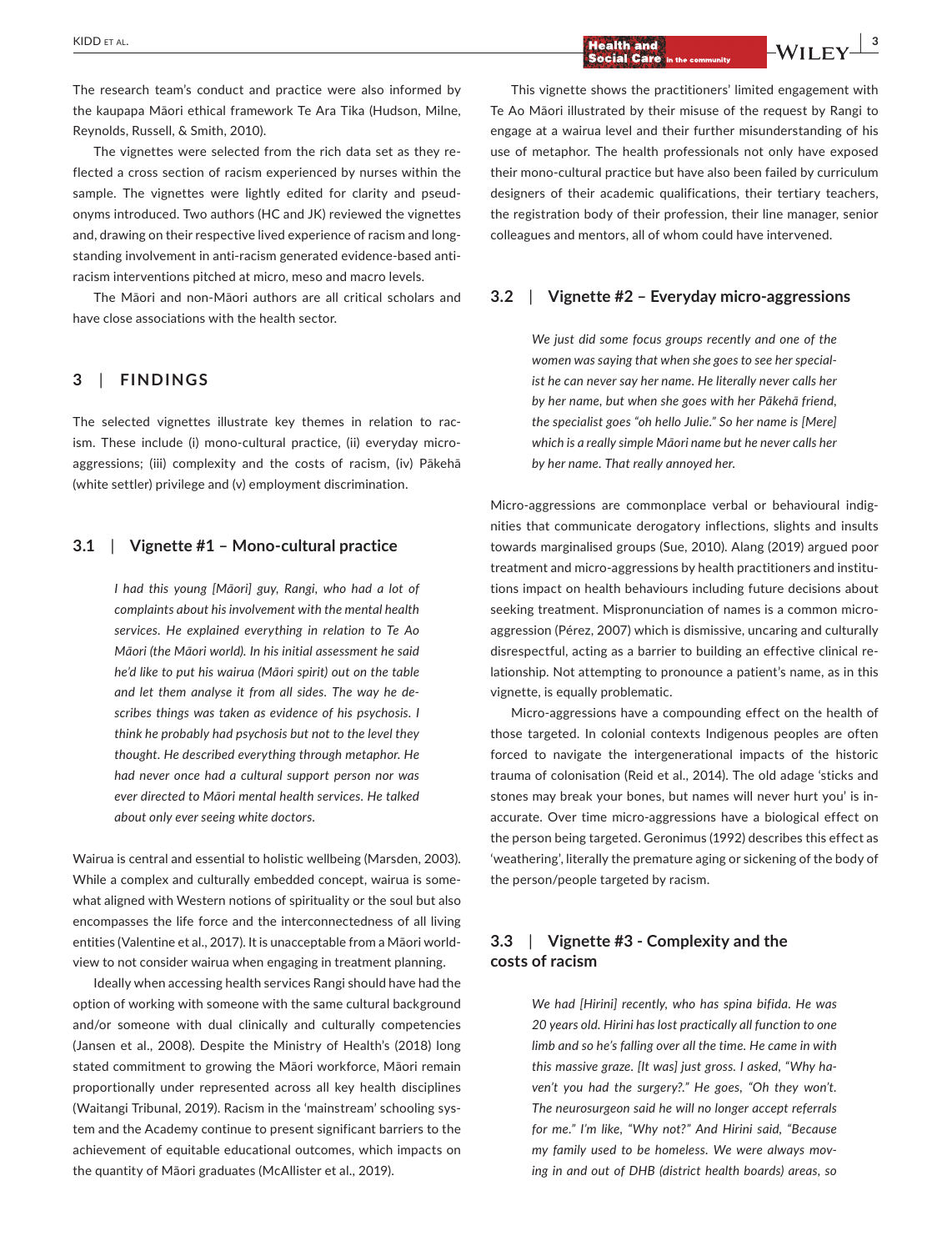The research team's conduct and practice were also informed by the kaupapa Māori ethical framework Te Ara Tika (Hudson, Milne, Reynolds, Russell, & Smith, 2010).

The vignettes were selected from the rich data set as they reflected a cross section of racism experienced by nurses within the sample. The vignettes were lightly edited for clarity and pseudonyms introduced. Two authors (HC and JK) reviewed the vignettes and, drawing on their respective lived experience of racism and longstanding involvement in anti-racism generated evidence-based antiracism interventions pitched at micro, meso and macro levels.

The Māori and non-Māori authors are all critical scholars and have close associations with the health sector.

# **3**  | **FINDINGS**

The selected vignettes illustrate key themes in relation to racism. These include (i) mono-cultural practice, (ii) everyday microaggressions; (iii) complexity and the costs of racism, (iv) Pākehā (white settler) privilege and (v) employment discrimination.

## **3.1**  | **Vignette #1 – Mono-cultural practice**

*I had this young [Māori] guy, Rangi, who had a lot of complaints about his involvement with the mental health services. He explained everything in relation to Te Ao Māori (the Māori world). In his initial assessment he said he'd like to put his wairua (Māori spirit) out on the table and let them analyse it from all sides. The way he describes things was taken as evidence of his psychosis. I think he probably had psychosis but not to the level they thought. He described everything through metaphor. He had never once had a cultural support person nor was ever directed to Māori mental health services. He talked about only ever seeing white doctors*.

Wairua is central and essential to holistic wellbeing (Marsden, 2003). While a complex and culturally embedded concept, wairua is somewhat aligned with Western notions of spirituality or the soul but also encompasses the life force and the interconnectedness of all living entities (Valentine et al., 2017). It is unacceptable from a Māori worldview to not consider wairua when engaging in treatment planning.

Ideally when accessing health services Rangi should have had the option of working with someone with the same cultural background and/or someone with dual clinically and culturally competencies (Jansen et al., 2008). Despite the Ministry of Health's (2018) long stated commitment to growing the Māori workforce, Māori remain proportionally under represented across all key health disciplines (Waitangi Tribunal, 2019). Racism in the 'mainstream' schooling system and the Academy continue to present significant barriers to the achievement of equitable educational outcomes, which impacts on the quantity of Māori graduates (McAllister et al., 2019).

 $\frac{1}{2}$   $\frac{1}{2}$   $\frac{1}{2}$   $\frac{1}{2}$   $\frac{1}{2}$   $\frac{1}{2}$   $\frac{1}{2}$   $\frac{1}{2}$   $\frac{1}{2}$   $\frac{1}{2}$   $\frac{1}{2}$   $\frac{1}{2}$   $\frac{1}{2}$   $\frac{1}{2}$   $\frac{1}{2}$   $\frac{1}{2}$   $\frac{1}{2}$   $\frac{1}{2}$   $\frac{1}{2}$   $\frac{1}{2}$   $\frac{1$ 

This vignette shows the practitioners' limited engagement with Te Ao Māori illustrated by their misuse of the request by Rangi to engage at a wairua level and their further misunderstanding of his use of metaphor. The health professionals not only have exposed their mono-cultural practice but have also been failed by curriculum designers of their academic qualifications, their tertiary teachers, the registration body of their profession, their line manager, senior colleagues and mentors, all of whom could have intervened.

# **3.2**  | **Vignette #2 – Everyday micro-aggressions**

*We just did some focus groups recently and one of the women was saying that when she goes to see her specialist he can never say her name. He literally never calls her by her name, but when she goes with her Pākehā friend, the specialist goes "oh hello Julie." So her name is [Mere] which is a really simple Māori name but he never calls her by her name. That really annoyed her*.

Micro-aggressions are commonplace verbal or behavioural indignities that communicate derogatory inflections, slights and insults towards marginalised groups (Sue, 2010). Alang (2019) argued poor treatment and micro-aggressions by health practitioners and institutions impact on health behaviours including future decisions about seeking treatment. Mispronunciation of names is a common microaggression (Pérez, 2007) which is dismissive, uncaring and culturally disrespectful, acting as a barrier to building an effective clinical relationship. Not attempting to pronounce a patient's name, as in this vignette, is equally problematic.

Micro-aggressions have a compounding effect on the health of those targeted. In colonial contexts Indigenous peoples are often forced to navigate the intergenerational impacts of the historic trauma of colonisation (Reid et al., 2014). The old adage 'sticks and stones may break your bones, but names will never hurt you' is inaccurate. Over time micro-aggressions have a biological effect on the person being targeted. Geronimus (1992) describes this effect as 'weathering', literally the premature aging or sickening of the body of the person/people targeted by racism.

# **3.3**  | **Vignette #3 - Complexity and the costs of racism**

*We had [Hirini] recently, who has spina bifida. He was 20 years old. Hirini has lost practically all function to one limb and so he's falling over all the time. He came in with this massive graze. [It was] just gross. I asked, "Why haven't you had the surgery?." He goes, "Oh they won't. The neurosurgeon said he will no longer accept referrals for me." I'm like, "Why not?" And Hirini said, "Because my family used to be homeless. We were always moving in and out of DHB (district health boards) areas, so*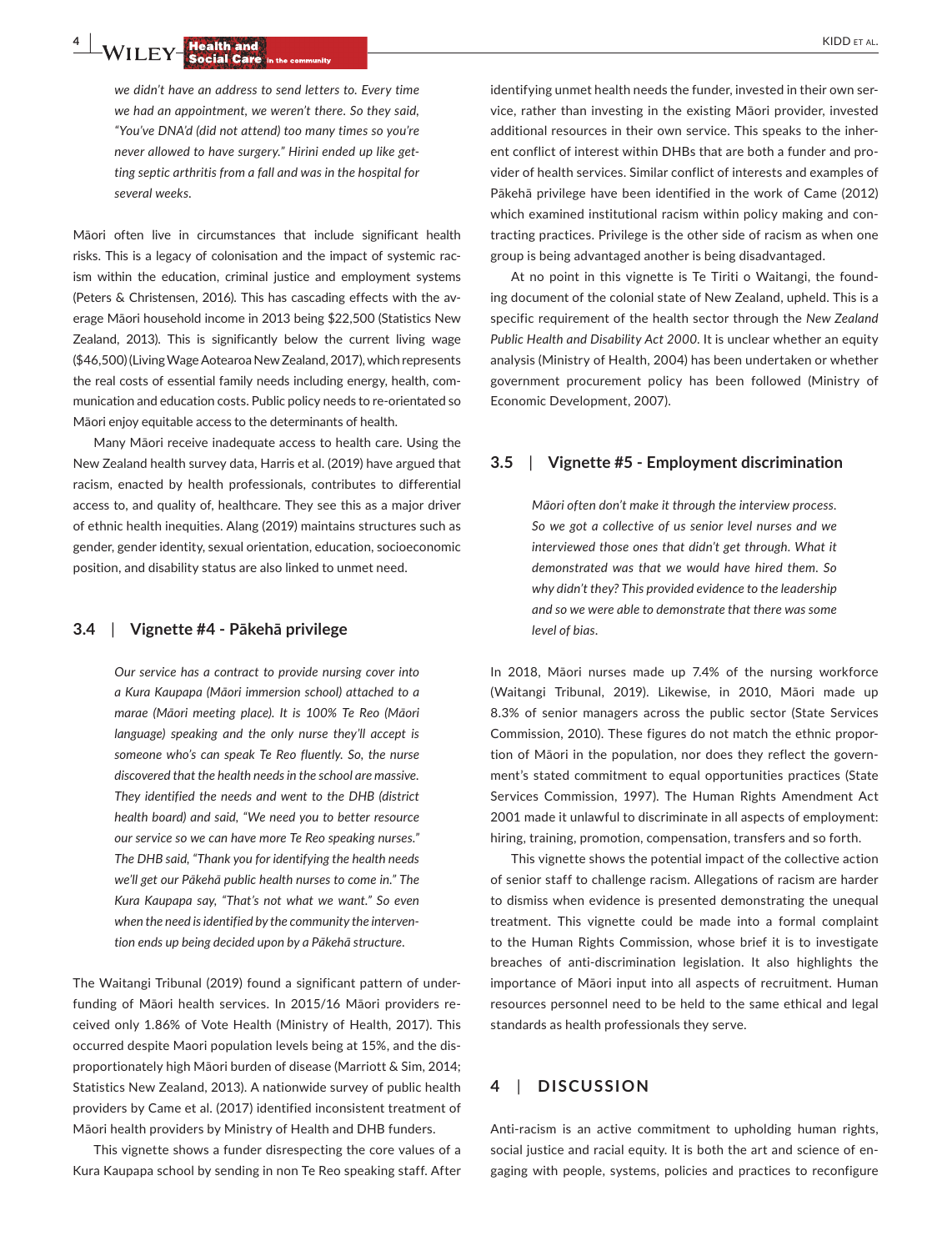*we didn't have an address to send letters to. Every time we had an appointment, we weren't there. So they said, "You've DNA'd (did not attend) too many times so you're never allowed to have surgery." Hirini ended up like getting septic arthritis from a fall and was in the hospital for several weeks*.

Māori often live in circumstances that include significant health risks. This is a legacy of colonisation and the impact of systemic racism within the education, criminal justice and employment systems (Peters & Christensen, 2016). This has cascading effects with the average Māori household income in 2013 being \$22,500 (Statistics New Zealand, 2013). This is significantly below the current living wage (\$46,500) (Living Wage Aotearoa New Zealand, 2017), which represents the real costs of essential family needs including energy, health, communication and education costs. Public policy needs to re-orientated so Māori enjoy equitable access to the determinants of health.

Many Māori receive inadequate access to health care. Using the New Zealand health survey data, Harris et al. (2019) have argued that racism, enacted by health professionals, contributes to differential access to, and quality of, healthcare. They see this as a major driver of ethnic health inequities. Alang (2019) maintains structures such as gender, gender identity, sexual orientation, education, socioeconomic position, and disability status are also linked to unmet need.

## **3.4**  | **Vignette #4 - Pākehā privilege**

*Our service has a contract to provide nursing cover into a Kura Kaupapa (Māori immersion school) attached to a marae (Māori meeting place). It is 100% Te Reo (Māori language) speaking and the only nurse they'll accept is someone who's can speak Te Reo fluently. So, the nurse discovered that the health needs in the school are massive. They identified the needs and went to the DHB (district health board) and said, "We need you to better resource our service so we can have more Te Reo speaking nurses." The DHB said, "Thank you for identifying the health needs we'll get our Pākehā public health nurses to come in." The Kura Kaupapa say, "That's not what we want." So even when the need is identified by the community the intervention ends up being decided upon by a Pākehā structure*.

The Waitangi Tribunal (2019) found a significant pattern of underfunding of Māori health services. In 2015/16 Māori providers received only 1.86% of Vote Health (Ministry of Health, 2017). This occurred despite Maori population levels being at 15%, and the disproportionately high Māori burden of disease (Marriott & Sim, 2014; Statistics New Zealand, 2013). A nationwide survey of public health providers by Came et al. (2017) identified inconsistent treatment of Māori health providers by Ministry of Health and DHB funders.

This vignette shows a funder disrespecting the core values of a Kura Kaupapa school by sending in non Te Reo speaking staff. After identifying unmet health needs the funder, invested in their own service, rather than investing in the existing Māori provider, invested additional resources in their own service. This speaks to the inherent conflict of interest within DHBs that are both a funder and provider of health services. Similar conflict of interests and examples of Pākehā privilege have been identified in the work of Came (2012) which examined institutional racism within policy making and contracting practices. Privilege is the other side of racism as when one group is being advantaged another is being disadvantaged.

At no point in this vignette is Te Tiriti o Waitangi, the founding document of the colonial state of New Zealand, upheld. This is a specific requirement of the health sector through the *New Zealand Public Health and Disability Act 2000*. It is unclear whether an equity analysis (Ministry of Health, 2004) has been undertaken or whether government procurement policy has been followed (Ministry of Economic Development, 2007).

## **3.5**  | **Vignette #5 - Employment discrimination**

*Māori often don't make it through the interview process. So we got a collective of us senior level nurses and we interviewed those ones that didn't get through. What it demonstrated was that we would have hired them. So why didn't they? This provided evidence to the leadership and so we were able to demonstrate that there was some level of bias*.

In 2018, Māori nurses made up 7.4% of the nursing workforce (Waitangi Tribunal, 2019). Likewise, in 2010, Māori made up 8.3% of senior managers across the public sector (State Services Commission, 2010). These figures do not match the ethnic proportion of Māori in the population, nor does they reflect the government's stated commitment to equal opportunities practices (State Services Commission, 1997). The Human Rights Amendment Act 2001 made it unlawful to discriminate in all aspects of employment: hiring, training, promotion, compensation, transfers and so forth.

This vignette shows the potential impact of the collective action of senior staff to challenge racism. Allegations of racism are harder to dismiss when evidence is presented demonstrating the unequal treatment. This vignette could be made into a formal complaint to the Human Rights Commission, whose brief it is to investigate breaches of anti-discrimination legislation. It also highlights the importance of Māori input into all aspects of recruitment. Human resources personnel need to be held to the same ethical and legal standards as health professionals they serve.

# **4**  | **DISCUSSION**

Anti-racism is an active commitment to upholding human rights, social justice and racial equity. It is both the art and science of engaging with people, systems, policies and practices to reconfigure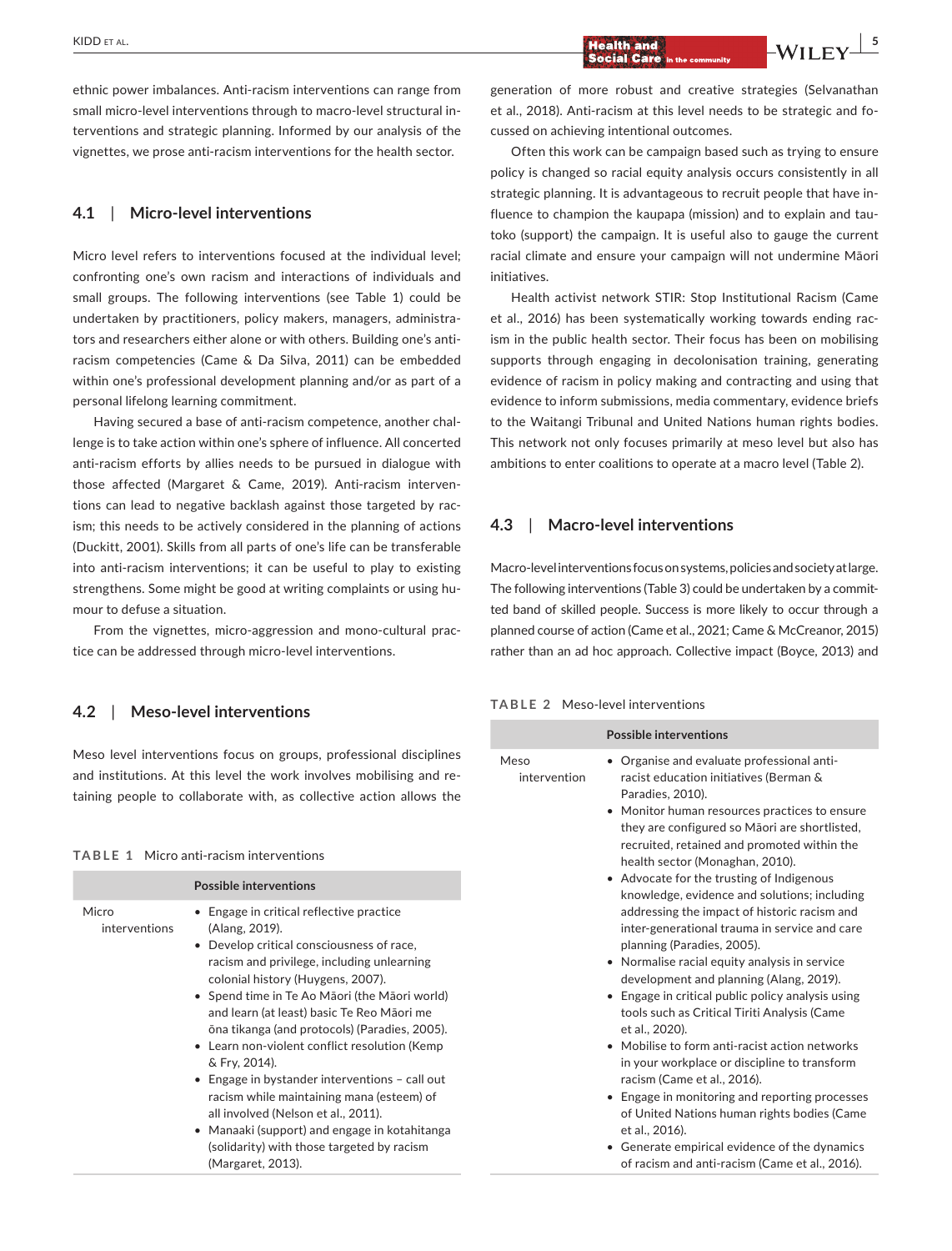ethnic power imbalances. Anti-racism interventions can range from small micro-level interventions through to macro-level structural interventions and strategic planning. Informed by our analysis of the vignettes, we prose anti-racism interventions for the health sector.

## **4.1**  | **Micro-level interventions**

Micro level refers to interventions focused at the individual level; confronting one's own racism and interactions of individuals and small groups. The following interventions (see Table 1) could be undertaken by practitioners, policy makers, managers, administrators and researchers either alone or with others. Building one's antiracism competencies (Came & Da Silva, 2011) can be embedded within one's professional development planning and/or as part of a personal lifelong learning commitment.

Having secured a base of anti-racism competence, another challenge is to take action within one's sphere of influence. All concerted anti-racism efforts by allies needs to be pursued in dialogue with those affected (Margaret & Came, 2019). Anti-racism interventions can lead to negative backlash against those targeted by racism; this needs to be actively considered in the planning of actions (Duckitt, 2001). Skills from all parts of one's life can be transferable into anti-racism interventions; it can be useful to play to existing strengthens. Some might be good at writing complaints or using humour to defuse a situation.

From the vignettes, micro-aggression and mono-cultural practice can be addressed through micro-level interventions.

# **4.2**  | **Meso-level interventions**

Meso level interventions focus on groups, professional disciplines and institutions. At this level the work involves mobilising and retaining people to collaborate with, as collective action allows the

#### **TABLE 1** Micro anti-racism interventions

|                        | <b>Possible interventions</b>                                                                                                                                                                                                                                                                                                                                                                                                                                                                                                                                                                                                                                                  |
|------------------------|--------------------------------------------------------------------------------------------------------------------------------------------------------------------------------------------------------------------------------------------------------------------------------------------------------------------------------------------------------------------------------------------------------------------------------------------------------------------------------------------------------------------------------------------------------------------------------------------------------------------------------------------------------------------------------|
| Micro<br>interventions | • Engage in critical reflective practice<br>(Alang, 2019).<br>• Develop critical consciousness of race,<br>racism and privilege, including unlearning<br>colonial history (Huygens, 2007).<br>$\bullet$ Spend time in Te Ao Māori (the Māori world)<br>and learn (at least) basic Te Reo Māori me<br>ōna tikanga (and protocols) (Paradies, 2005).<br>• Learn non-violent conflict resolution (Kemp<br>& Fry, 2014).<br>• Engage in bystander interventions - call out<br>racism while maintaining mana (esteem) of<br>all involved (Nelson et al., 2011).<br>• Manaaki (support) and engage in kotahitanga<br>(solidarity) with those targeted by racism<br>(Margaret, 2013). |

generation of more robust and creative strategies (Selvanathan et al., 2018). Anti-racism at this level needs to be strategic and focussed on achieving intentional outcomes.

Often this work can be campaign based such as trying to ensure policy is changed so racial equity analysis occurs consistently in all strategic planning. It is advantageous to recruit people that have influence to champion the kaupapa (mission) and to explain and tautoko (support) the campaign. It is useful also to gauge the current racial climate and ensure your campaign will not undermine Māori initiatives.

Health activist network STIR: Stop Institutional Racism (Came et al., 2016) has been systematically working towards ending racism in the public health sector. Their focus has been on mobilising supports through engaging in decolonisation training, generating evidence of racism in policy making and contracting and using that evidence to inform submissions, media commentary, evidence briefs to the Waitangi Tribunal and United Nations human rights bodies. This network not only focuses primarily at meso level but also has ambitions to enter coalitions to operate at a macro level (Table 2).

## **4.3**  | **Macro-level interventions**

Macro-level interventions focus on systems, policies and society at large. The following interventions (Table 3) could be undertaken by a committed band of skilled people. Success is more likely to occur through a planned course of action (Came et al., 2021; Came & McCreanor, 2015) rather than an ad hoc approach. Collective impact (Boyce, 2013) and

#### **TABLE 2** Meso-level interventions

|                      | <b>Possible interventions</b>                                                                                                                                                                                                                                                                                                                                                                                                                                                                                                                                                                                                                                                                                                                                                                                                               |
|----------------------|---------------------------------------------------------------------------------------------------------------------------------------------------------------------------------------------------------------------------------------------------------------------------------------------------------------------------------------------------------------------------------------------------------------------------------------------------------------------------------------------------------------------------------------------------------------------------------------------------------------------------------------------------------------------------------------------------------------------------------------------------------------------------------------------------------------------------------------------|
| Meso<br>intervention | Organise and evaluate professional anti-<br>racist education initiatives (Berman &<br>Paradies, 2010).<br>• Monitor human resources practices to ensure<br>they are configured so Maori are shortlisted,<br>recruited, retained and promoted within the<br>health sector (Monaghan, 2010).<br>• Advocate for the trusting of Indigenous<br>knowledge, evidence and solutions; including<br>addressing the impact of historic racism and<br>inter-generational trauma in service and care<br>planning (Paradies, 2005).<br>• Normalise racial equity analysis in service<br>development and planning (Alang, 2019).<br>• Engage in critical public policy analysis using<br>tools such as Critical Tiriti Analysis (Came<br>et al., 2020).<br>• Mobilise to form anti-racist action networks<br>in your workplace or discipline to transform |
|                      | racism (Came et al., 2016).                                                                                                                                                                                                                                                                                                                                                                                                                                                                                                                                                                                                                                                                                                                                                                                                                 |
|                      | • Engage in monitoring and reporting processes<br>of United Nations human rights bodies (Came<br>et al., 2016).                                                                                                                                                                                                                                                                                                                                                                                                                                                                                                                                                                                                                                                                                                                             |
|                      | • Generate empirical evidence of the dynamics<br>of racism and anti-racism (Came et al., 2016).                                                                                                                                                                                                                                                                                                                                                                                                                                                                                                                                                                                                                                                                                                                                             |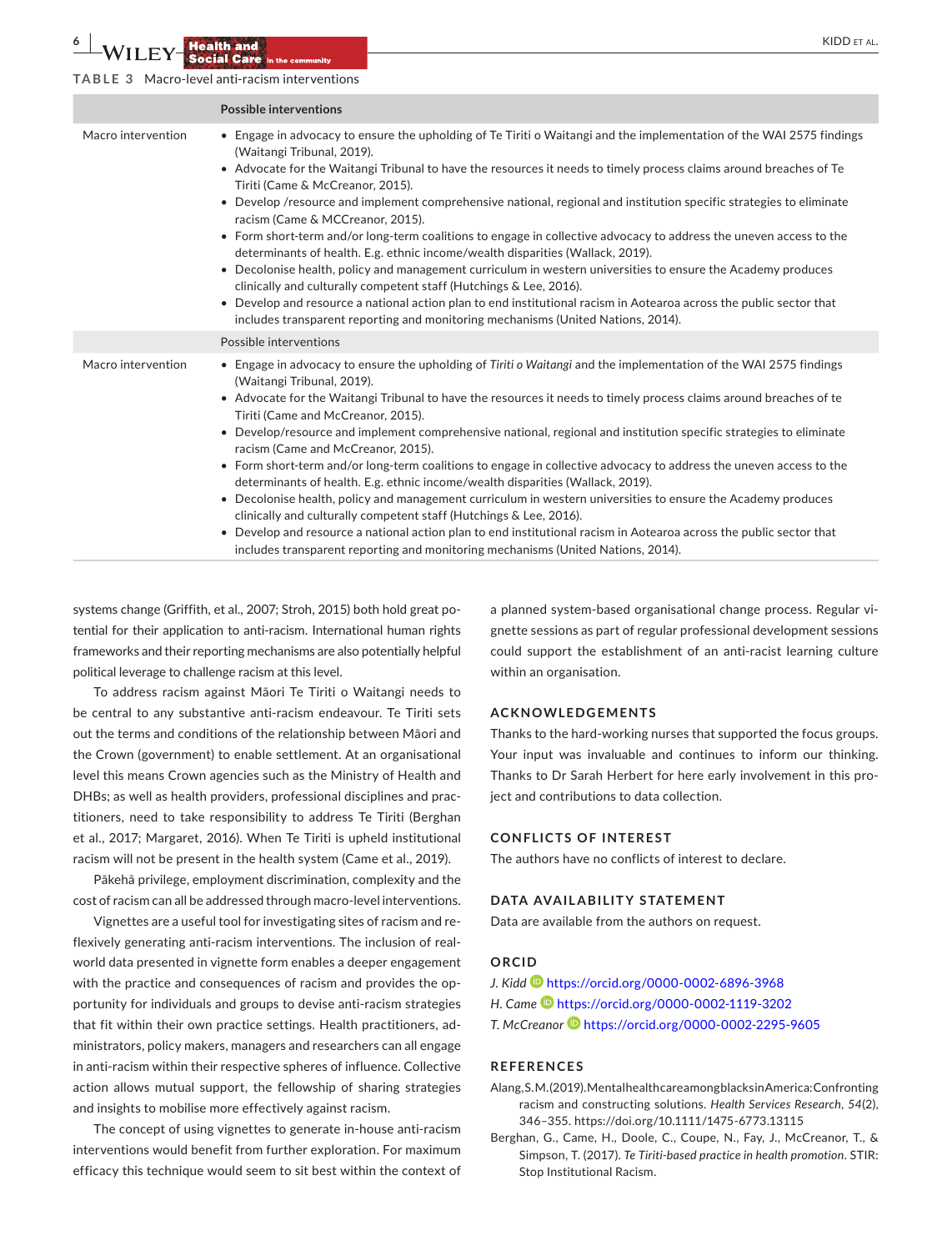**6 | 14**/**II From Property <b>Except AL. CONSUMING A REPORT ALL STATES ALL STATES ALL STATES ALL STATES ALL STATES ALL STATES ALL STATES ALL STATES ALL STATES ALL STATES ALL STATES ALL STATES ALL STATES ALL STATES AL** 

**TABLE 3** Macro-level anti-racism interventions

|                    | <b>Possible interventions</b>                                                                                                                                                                                                                                                                                                                                                                                                                                                                                                                                                                                                                                                                                                                                                                                                                                                                                                                                                                                                                                                               |
|--------------------|---------------------------------------------------------------------------------------------------------------------------------------------------------------------------------------------------------------------------------------------------------------------------------------------------------------------------------------------------------------------------------------------------------------------------------------------------------------------------------------------------------------------------------------------------------------------------------------------------------------------------------------------------------------------------------------------------------------------------------------------------------------------------------------------------------------------------------------------------------------------------------------------------------------------------------------------------------------------------------------------------------------------------------------------------------------------------------------------|
| Macro intervention | • Engage in advocacy to ensure the upholding of Te Tiriti o Waitangi and the implementation of the WAI 2575 findings<br>(Waitangi Tribunal, 2019).<br>• Advocate for the Waitangi Tribunal to have the resources it needs to timely process claims around breaches of Te<br>Tiriti (Came & McCreanor, 2015).<br>• Develop /resource and implement comprehensive national, regional and institution specific strategies to eliminate<br>racism (Came & MCCreanor, 2015).<br>• Form short-term and/or long-term coalitions to engage in collective advocacy to address the uneven access to the<br>determinants of health. E.g. ethnic income/wealth disparities (Wallack, 2019).<br>Decolonise health, policy and management curriculum in western universities to ensure the Academy produces<br>$\bullet$<br>clinically and culturally competent staff (Hutchings & Lee, 2016).<br>• Develop and resource a national action plan to end institutional racism in Aotearoa across the public sector that<br>includes transparent reporting and monitoring mechanisms (United Nations, 2014). |
|                    | Possible interventions                                                                                                                                                                                                                                                                                                                                                                                                                                                                                                                                                                                                                                                                                                                                                                                                                                                                                                                                                                                                                                                                      |
| Macro intervention | • Engage in advocacy to ensure the upholding of Tiriti o Waitangi and the implementation of the WAI 2575 findings<br>(Waitangi Tribunal, 2019).<br>• Advocate for the Waitangi Tribunal to have the resources it needs to timely process claims around breaches of te<br>Tiriti (Came and McCreanor, 2015).<br>• Develop/resource and implement comprehensive national, regional and institution specific strategies to eliminate<br>racism (Came and McCreanor, 2015).<br>• Form short-term and/or long-term coalitions to engage in collective advocacy to address the uneven access to the<br>determinants of health. E.g. ethnic income/wealth disparities (Wallack, 2019).<br>• Decolonise health, policy and management curriculum in western universities to ensure the Academy produces<br>clinically and culturally competent staff (Hutchings & Lee, 2016).<br>Develop and resource a national action plan to end institutional racism in Aotearoa across the public sector that<br>includes transparent reporting and monitoring mechanisms (United Nations, 2014).              |

systems change (Griffith, et al., 2007; Stroh, 2015) both hold great potential for their application to anti-racism. International human rights frameworks and their reporting mechanisms are also potentially helpful political leverage to challenge racism at this level.

To address racism against Māori Te Tiriti o Waitangi needs to be central to any substantive anti-racism endeavour. Te Tiriti sets out the terms and conditions of the relationship between Māori and the Crown (government) to enable settlement. At an organisational level this means Crown agencies such as the Ministry of Health and DHBs; as well as health providers, professional disciplines and practitioners, need to take responsibility to address Te Tiriti (Berghan et al., 2017; Margaret, 2016). When Te Tiriti is upheld institutional racism will not be present in the health system (Came et al., 2019).

Pākehā privilege, employment discrimination, complexity and the cost of racism can all be addressed through macro-level interventions.

Vignettes are a useful tool for investigating sites of racism and reflexively generating anti-racism interventions. The inclusion of realworld data presented in vignette form enables a deeper engagement with the practice and consequences of racism and provides the opportunity for individuals and groups to devise anti-racism strategies that fit within their own practice settings. Health practitioners, administrators, policy makers, managers and researchers can all engage in anti-racism within their respective spheres of influence. Collective action allows mutual support, the fellowship of sharing strategies and insights to mobilise more effectively against racism.

The concept of using vignettes to generate in-house anti-racism interventions would benefit from further exploration. For maximum efficacy this technique would seem to sit best within the context of

a planned system-based organisational change process. Regular vignette sessions as part of regular professional development sessions could support the establishment of an anti-racist learning culture within an organisation.

## **ACKNOWLEDGEMENTS**

Thanks to the hard-working nurses that supported the focus groups. Your input was invaluable and continues to inform our thinking. Thanks to Dr Sarah Herbert for here early involvement in this project and contributions to data collection.

#### **CONFLICTS OF INTEREST**

The authors have no conflicts of interest to declare.

#### **DATA AVAILABILITY STATEMENT**

Data are available from the authors on request.

# **ORCID**

- *J. Kidd* <https://orcid.org/0000-0002-6896-3968>
- *H. Came* <https://orcid.org/0000-0002-1119-3202>
- *T. McCreanor* <https://orcid.org/0000-0002-2295-9605>

#### **REFERENCES**

- Alang, S.M. (2019). Mental health care among blacks in America: Confronting racism and constructing solutions. *Health Services Research*, *54*(2), 346–355.<https://doi.org/10.1111/1475-6773.13115>
- Berghan, G., Came, H., Doole, C., Coupe, N., Fay, J., McCreanor, T., & Simpson, T. (2017). *Te Tiriti-based practice in health promotion*. STIR: Stop Institutional Racism.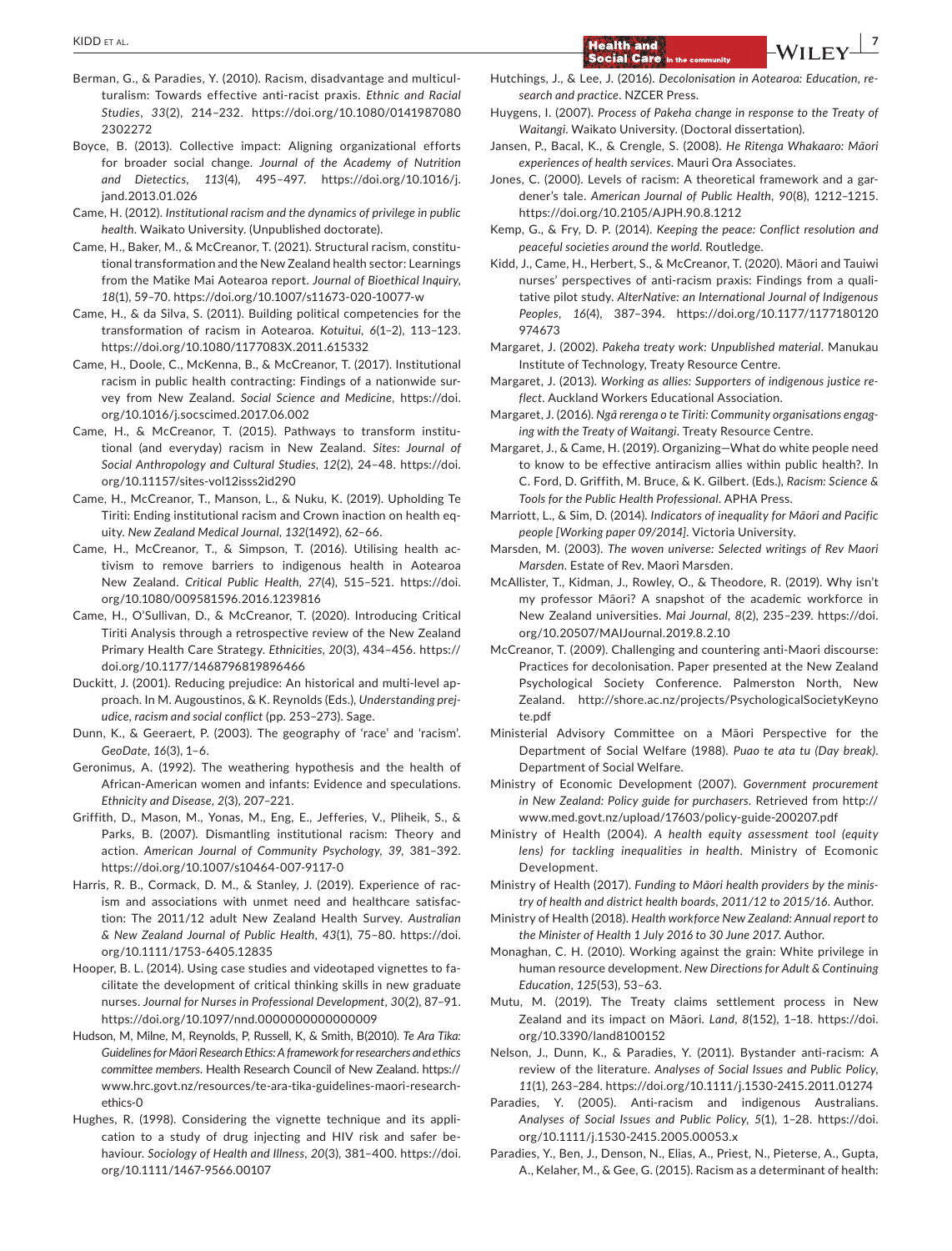- Berman, G., & Paradies, Y. (2010). Racism, disadvantage and multiculturalism: Towards effective anti-racist praxis. *Ethnic and Racial Studies*, *33*(2), 214–232. [https://doi.org/10.1080/0141987080](https://doi.org/10.1080/01419870802302272) [2302272](https://doi.org/10.1080/01419870802302272)
- Boyce, B. (2013). Collective impact: Aligning organizational efforts for broader social change. *Journal of the Academy of Nutrition and Dietectics*, *113*(4), 495–497. [https://doi.org/10.1016/j.](https://doi.org/10.1016/j.jand.2013.01.026) [jand.2013.01.026](https://doi.org/10.1016/j.jand.2013.01.026)
- Came, H. (2012). *Institutional racism and the dynamics of privilege in public health*. Waikato University. (Unpublished doctorate).
- Came, H., Baker, M., & McCreanor, T. (2021). Structural racism, constitutional transformation and the New Zealand health sector: Learnings from the Matike Mai Aotearoa report. *Journal of Bioethical Inquiry*, *18*(1), 59–70. <https://doi.org/10.1007/s11673-020-10077-w>
- Came, H., & da Silva, S. (2011). Building political competencies for the transformation of racism in Aotearoa. *Kotuitui*, *6*(1–2), 113–123. <https://doi.org/10.1080/1177083X.2011.615332>
- Came, H., Doole, C., McKenna, B., & McCreanor, T. (2017). Institutional racism in public health contracting: Findings of a nationwide survey from New Zealand. *Social Science and Medicine*, [https://doi.](https://doi.org/10.1016/j.socscimed.2017.06.002) [org/10.1016/j.socscimed.2017.06.002](https://doi.org/10.1016/j.socscimed.2017.06.002)
- Came, H., & McCreanor, T. (2015). Pathways to transform institutional (and everyday) racism in New Zealand. *Sites: Journal of Social Anthropology and Cultural Studies*, *12*(2), 24–48. [https://doi.](https://doi.org/10.11157/sites-vol12isss2id290) [org/10.11157/sites-vol12isss2id290](https://doi.org/10.11157/sites-vol12isss2id290)
- Came, H., McCreanor, T., Manson, L., & Nuku, K. (2019). Upholding Te Tiriti: Ending institutional racism and Crown inaction on health equity. *New Zealand Medical Journal*, *132*(1492), 62–66.
- Came, H., McCreanor, T., & Simpson, T. (2016). Utilising health activism to remove barriers to indigenous health in Aotearoa New Zealand. *Critical Public Health*, *27*(4), 515–521. [https://doi.](https://doi.org/10.1080/009581596.2016.1239816) [org/10.1080/009581596.2016.1239816](https://doi.org/10.1080/009581596.2016.1239816)
- Came, H., O'Sullivan, D., & McCreanor, T. (2020). Introducing Critical Tiriti Analysis through a retrospective review of the New Zealand Primary Health Care Strategy. *Ethnicities*, *20*(3), 434–456. [https://](https://doi.org/10.1177/1468796819896466) [doi.org/10.1177/1468796819896466](https://doi.org/10.1177/1468796819896466)
- Duckitt, J. (2001). Reducing prejudice: An historical and multi-level approach. In M. Augoustinos, & K. Reynolds (Eds.), *Understanding prejudice, racism and social conflict* (pp. 253–273). Sage.
- Dunn, K., & Geeraert, P. (2003). The geography of 'race' and 'racism'. *GeoDate*, *16*(3), 1–6.
- Geronimus, A. (1992). The weathering hypothesis and the health of African-American women and infants: Evidence and speculations. *Ethnicity and Disease*, *2*(3), 207–221.
- Griffith, D., Mason, M., Yonas, M., Eng, E., Jefferies, V., Pliheik, S., & Parks, B. (2007). Dismantling institutional racism: Theory and action. *American Journal of Community Psychology*, *39*, 381–392. <https://doi.org/10.1007/s10464-007-9117-0>
- Harris, R. B., Cormack, D. M., & Stanley, J. (2019). Experience of racism and associations with unmet need and healthcare satisfaction: The 2011/12 adult New Zealand Health Survey. *Australian & New Zealand Journal of Public Health*, *43*(1), 75–80. [https://doi.](https://doi.org/10.1111/1753-6405.12835) [org/10.1111/1753-6405.12835](https://doi.org/10.1111/1753-6405.12835)
- Hooper, B. L. (2014). Using case studies and videotaped vignettes to facilitate the development of critical thinking skills in new graduate nurses. *Journal for Nurses in Professional Development*, *30*(2), 87–91. <https://doi.org/10.1097/nnd.0000000000000009>
- Hudson, M, Milne, M, Reynolds, P, Russell, K, & Smith, B(2010). *Te Ara Tika: Guidelines for Māori Research Ethics: A framework for researchers and ethics committee members*. Health Research Council of New Zealand. [https://](https://www.hrc.govt.nz/resources/te-ara-tika-guidelines-maori-research-ethics-0) [www.hrc.govt.nz/resources/te-ara-tika-guidelines-maori-research](https://www.hrc.govt.nz/resources/te-ara-tika-guidelines-maori-research-ethics-0)[ethics-0](https://www.hrc.govt.nz/resources/te-ara-tika-guidelines-maori-research-ethics-0)
- Hughes, R. (1998). Considering the vignette technique and its application to a study of drug injecting and HIV risk and safer behaviour. *Sociology of Health and Illness*, *20*(3), 381–400. [https://doi.](https://doi.org/10.1111/1467-9566.00107) [org/10.1111/1467-9566.00107](https://doi.org/10.1111/1467-9566.00107)
- Hutchings, J., & Lee, J. (2016). *Decolonisation in Aotearoa: Education, research and practice*. NZCER Press.
- Huygens, I. (2007). *Process of Pakeha change in response to the Treaty of Waitangi*. Waikato University. (Doctoral dissertation).
- Jansen, P., Bacal, K., & Crengle, S. (2008). *He Ritenga Whakaaro: Māori experiences of health services*. Mauri Ora Associates.
- Jones, C. (2000). Levels of racism: A theoretical framework and a gardener's tale. *American Journal of Public Health*, *90*(8), 1212–1215. <https://doi.org/10.2105/AJPH.90.8.1212>
- Kemp, G., & Fry, D. P. (2014). *Keeping the peace: Conflict resolution and peaceful societies around the world*. Routledge.
- Kidd, J., Came, H., Herbert, S., & McCreanor, T. (2020). Māori and Tauiwi nurses' perspectives of anti-racism praxis: Findings from a qualitative pilot study. *AlterNative: an International Journal of Indigenous Peoples*, *16*(4), 387–394. [https://doi.org/10.1177/1177180120](https://doi.org/10.1177/1177180120974673) [974673](https://doi.org/10.1177/1177180120974673)
- Margaret, J. (2002). *Pakeha treaty work: Unpublished material*. Manukau Institute of Technology, Treaty Resource Centre.
- Margaret, J. (2013). *Working as allies: Supporters of indigenous justice reflect*. Auckland Workers Educational Association.
- Margaret, J. (2016). *Ngā rerenga o te Tiriti: Community organisations engaging with the Treaty of Waitangi*. Treaty Resource Centre.
- Margaret, J., & Came, H. (2019). Organizing—What do white people need to know to be effective antiracism allies within public health?. In C. Ford, D. Griffith, M. Bruce, & K. Gilbert. (Eds.), *Racism: Science & Tools for the Public Health Professional*. APHA Press.
- Marriott, L., & Sim, D. (2014). *Indicators of inequality for Māori and Pacific people [Working paper 09/2014]*. Victoria University.
- Marsden, M. (2003). *The woven universe: Selected writings of Rev Maori Marsden*. Estate of Rev. Maori Marsden.
- McAllister, T., Kidman, J., Rowley, O., & Theodore, R. (2019). Why isn't my professor Māori? A snapshot of the academic workforce in New Zealand universities. *Mai Journal*, *8*(2), 235–239. [https://doi.](https://doi.org/10.20507/MAIJournal.2019.8.2.10) [org/10.20507/MAIJournal.2019.8.2.10](https://doi.org/10.20507/MAIJournal.2019.8.2.10)
- McCreanor, T. (2009). Challenging and countering anti-Maori discourse: Practices for decolonisation. Paper presented at the New Zealand Psychological Society Conference. Palmerston North, New Zealand. [http://shore.ac.nz/projects/PsychologicalSocietyKeyno](http://shore.ac.nz/projects/PsychologicalSocietyKeynote.pdf) [te.pdf](http://shore.ac.nz/projects/PsychologicalSocietyKeynote.pdf)
- Ministerial Advisory Committee on a Māori Perspective for the Department of Social Welfare (1988). *Puao te ata tu (Day break)*. Department of Social Welfare.
- Ministry of Economic Development (2007). *Government procurement in New Zealand: Policy guide for purchasers*. Retrieved from [http://](http://www.med.govt.nz/upload/17603/policy-guide-200207.pdf) [www.med.govt.nz/upload/17603/policy-guide-200207.pdf](http://www.med.govt.nz/upload/17603/policy-guide-200207.pdf)
- Ministry of Health (2004). *A health equity assessment tool (equity lens) for tackling inequalities in health*. Ministry of Ecomonic Development.
- Ministry of Health (2017). *Funding to Māori health providers by the ministry of health and district health boards, 2011/12 to 2015/16*. Author.
- Ministry of Health (2018). *Health workforce New Zealand: Annual report to the Minister of Health 1 July 2016 to 30 June 2017*. Author.
- Monaghan, C. H. (2010). Working against the grain: White privilege in human resource development. *New Directions for Adult & Continuing Education*, *125*(53), 53–63.
- Mutu, M. (2019). The Treaty claims settlement process in New Zealand and its impact on Māori. *Land*, *8*(152), 1–18. [https://doi.](https://doi.org/10.3390/land8100152) [org/10.3390/land8100152](https://doi.org/10.3390/land8100152)
- Nelson, J., Dunn, K., & Paradies, Y. (2011). Bystander anti-racism: A review of the literature. *Analyses of Social Issues and Public Policy*, *11*(1), 263–284.<https://doi.org/10.1111/j.1530-2415.2011.01274>
- Paradies, Y. (2005). Anti-racism and indigenous Australians. *Analyses of Social Issues and Public Policy*, *5*(1), 1–28. [https://doi.](https://doi.org/10.1111/j.1530-2415.2005.00053.x) [org/10.1111/j.1530-2415.2005.00053.x](https://doi.org/10.1111/j.1530-2415.2005.00053.x)
- Paradies, Y., Ben, J., Denson, N., Elias, A., Priest, N., Pieterse, A., Gupta, A., Kelaher, M., & Gee, G. (2015). Racism as a determinant of health: